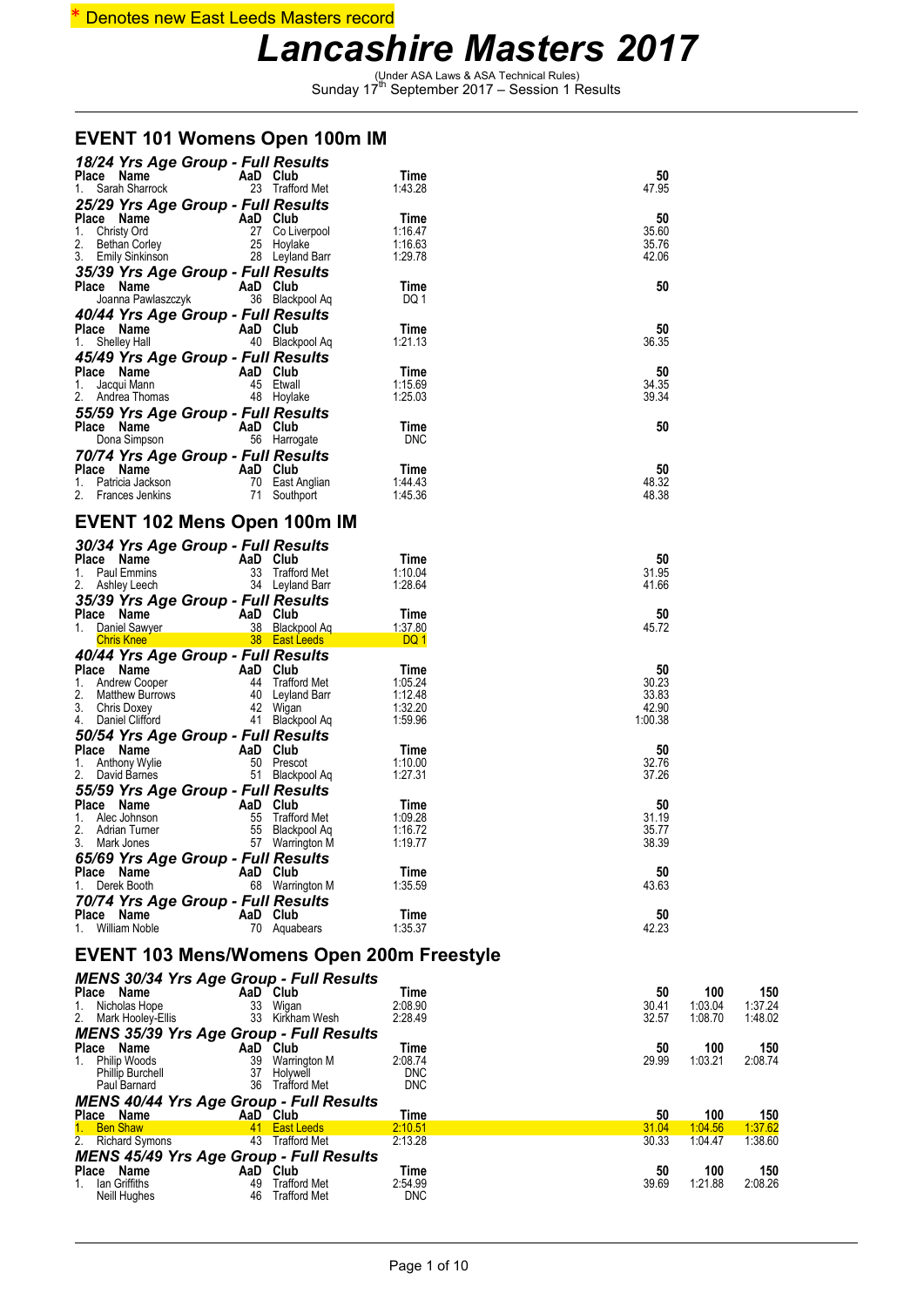#### \* Denotes new East Leeds Masters record

### *Lancashire Masters 2017*

(Under ASA Laws & ASA Technical Rules) Sunday 17th September 2017 – Session 1 Results

#### **EVENT 101 Womens Open 100m IM**

| 18/24 Yrs Age Group - Full Results<br>Place Name<br>AaD Club                                                                      |                                    | Time                      | 50               |                    |                    |  |  |
|-----------------------------------------------------------------------------------------------------------------------------------|------------------------------------|---------------------------|------------------|--------------------|--------------------|--|--|
| 1. Sarah Sharrock                                                                                                                 | 23 Trafford Met                    | 1:43.28                   | 47.95            |                    |                    |  |  |
| 25/29 Yrs Age Group - Full Results                                                                                                |                                    | Time                      | 50               |                    |                    |  |  |
|                                                                                                                                   |                                    | 1:16.47                   | 35.60            |                    |                    |  |  |
| <b>Place Name AaD Club</b><br>1. Christy Ord 27 Co Liverpool<br>2. Bethan Corley 25 Hoylake<br>3. Emily Sinkinson 28 Leyland Barr |                                    | 1:16.63<br>1:29.78        | 35.76<br>42.06   |                    |                    |  |  |
| 35/39 Yrs Age Group - Full Results                                                                                                |                                    |                           |                  |                    |                    |  |  |
| AaD Club<br>Place Name<br>Joanna Pawlaszczyk                                                                                      | 36 Blackpool Aq                    | Time<br>DQ 1              | 50               |                    |                    |  |  |
| 40/44 Yrs Age Group - Full Results                                                                                                |                                    |                           |                  |                    |                    |  |  |
| Place Name<br>AaD Club                                                                                                            |                                    | Time                      | 50               |                    |                    |  |  |
| 1. Shelley Hall<br>45/49 Yrs Age Group - Full Results                                                                             | 40 Blackpool Aq                    | 1:21.13                   | 36.35            |                    |                    |  |  |
| AaD Club<br>Place Name                                                                                                            |                                    | Time                      | 50               |                    |                    |  |  |
| 45 Etwall<br>1. Jacqui Mann<br>2. Andrea Thomas                                                                                   | 48 Hoylake                         | 1:15.69<br>1:25.03        | 34.35<br>39.34   |                    |                    |  |  |
| 55/59 Yrs Age Group - Full Results                                                                                                |                                    |                           |                  |                    |                    |  |  |
| Place Name<br>AaD Club<br>Dona Simpson                                                                                            | 56 Harrogate                       | Time<br><b>DNC</b>        | 50               |                    |                    |  |  |
| 70/74 Yrs Age Group - Full Results                                                                                                |                                    |                           |                  |                    |                    |  |  |
| <b>Example 2</b> AaD Club<br>Place Name                                                                                           |                                    | Time                      | 50               |                    |                    |  |  |
| 1. Patricia Jackson<br>2. Frances Jenkins                                                                                         | 70 East Anglian<br>71 Southport    | 1:44.43<br>1:45.36        | 48.32<br>48.38   |                    |                    |  |  |
|                                                                                                                                   |                                    |                           |                  |                    |                    |  |  |
| <b>EVENT 102 Mens Open 100m IM</b>                                                                                                |                                    |                           |                  |                    |                    |  |  |
| 30/34 Yrs Age Group - Full Results<br>Place Name<br>AaD Club                                                                      |                                    | Time                      | 50               |                    |                    |  |  |
| 1. Paul Emmins                                                                                                                    | 33 Trafford Met                    | 1:10.04                   | 31.95            |                    |                    |  |  |
| 2. Ashley Leech<br>35/39 Yrs Age Group - Full Results                                                                             | 34 Leyland Barr                    | 1:28.64                   | 41.66            |                    |                    |  |  |
| Place Name                                                                                                                        |                                    | Time                      | 50               |                    |                    |  |  |
| Ce Name<br>Daniel Sawyer 38 Blackpool Ag<br>Chris Knee 38 East Leeds<br>1. Daniel Sawyer                                          |                                    | 1:37.80<br>DQ 1           | 45.72            |                    |                    |  |  |
| 40/44 Yrs Age Group - Full Results                                                                                                |                                    |                           |                  |                    |                    |  |  |
| 40744 Tis Age Strong<br>Place Name AaD Club<br>1. Andrew Cooper<br>2. Matthew Burrows<br>3. Chris Doxey<br>42 Wigan               |                                    | Time<br>1:05.24           | 50<br>30.23      |                    |                    |  |  |
|                                                                                                                                   |                                    | 1:12.48                   | 33.83            |                    |                    |  |  |
| 41 Blackpool Aq<br>Daniel Clifford<br>4.                                                                                          |                                    | 1:32.20<br>1:59.96        | 42.90<br>1:00.38 |                    |                    |  |  |
| 50/54 Yrs Age Group - Full Results                                                                                                |                                    |                           |                  |                    |                    |  |  |
| Place Name<br>AaD Club<br>1. Anthony Wylie                                                                                        | 50 Prescot                         | Time<br>1:10.00           | 50<br>32.76      |                    |                    |  |  |
| 2. David Barnes                                                                                                                   | 51 Blackpool Aq                    | 1:27.31                   | 37.26            |                    |                    |  |  |
| 55/59 Yrs Age Group - Full Results<br>Place Name                                                                                  |                                    |                           | 50               |                    |                    |  |  |
| AaD Club<br>1. Alec Johnson                                                                                                       | 55 Trafford Met                    | Time<br>1:09.28           | 31.19            |                    |                    |  |  |
| 2.<br>Adrian Turner<br>3. Mark Jones                                                                                              | 55 Blackpool Aq<br>57 Warrington M | 1:16.72<br>1:19.77        | 35.77<br>38.39   |                    |                    |  |  |
| 65/69 Yrs Age Group - Full Results                                                                                                |                                    |                           |                  |                    |                    |  |  |
| Place Name<br>AaD Club                                                                                                            |                                    | Time<br>1:35.59           | 50<br>43.63      |                    |                    |  |  |
| Derek Booth<br>1.<br>70/74 Yrs Age Group - Full Results                                                                           | 68 Warrington M                    |                           |                  |                    |                    |  |  |
| Place Name<br>AaD Club                                                                                                            |                                    | Time                      | 50               |                    |                    |  |  |
| 1. William Noble                                                                                                                  | 70 Aquabears                       | 1:35.37                   | 42.23            |                    |                    |  |  |
| EVENT 103 Mens/Womens Open 200m Freestyle                                                                                         |                                    |                           |                  |                    |                    |  |  |
| MENS 30/34 Yrs Age Group - Full Results                                                                                           |                                    |                           |                  |                    |                    |  |  |
| Place Name<br>AaD Club<br>Nicholas Hope<br>1.                                                                                     | 33 Wigan                           | Time<br>2:08.90           | 50<br>30.41      | 100<br>1:03.04     | 150<br>1:37.24     |  |  |
| 2. Mark Hooley-Ellis                                                                                                              | 33 Kirkham Wesh                    | 2:28.49                   | 32.57            | 1:08.70            | 1:48.02            |  |  |
| <b>MENS 35/39 Yrs Age Group - Full Results</b>                                                                                    |                                    |                           |                  |                    |                    |  |  |
| AaD Club<br>Place Name<br>1. Philip Woods                                                                                         | 39 Warrington M                    | Time<br>2:08.74           | 50<br>29.99      | 100<br>1:03.21     | 150<br>2:08.74     |  |  |
| <b>Phillip Burchell</b><br>Paul Barnard                                                                                           | 37 Holywell<br>36 Trafford Met     | <b>DNC</b><br><b>DNC</b>  |                  |                    |                    |  |  |
| <b>MENS 40/44 Yrs Age Group - Full Results</b>                                                                                    |                                    |                           |                  |                    |                    |  |  |
| AaD Club<br>Place Name                                                                                                            |                                    | Time                      | 50               | 100                | <u>150</u>         |  |  |
| 1. Ben Shaw<br>2. Richard Symons                                                                                                  | 41 East Leeds<br>43 Trafford Met   | <u>2:10.51</u><br>2:13.28 | 31.04<br>30.33   | 1.04.56<br>1:04.47 | 1:37.62<br>1:38.60 |  |  |
| <b>MENS 45/49 Yrs Age Group - Full Results</b>                                                                                    |                                    |                           |                  |                    |                    |  |  |
| AaD Club<br>Place Name<br>lan Griffiths<br>1.                                                                                     | 49 Trafford Met                    | Time<br>2:54.99           | 50<br>39.69      | 100<br>1:21.88     | 150<br>2:08.26     |  |  |
| Neill Hughes                                                                                                                      | 46 Trafford Met                    | <b>DNC</b>                |                  |                    |                    |  |  |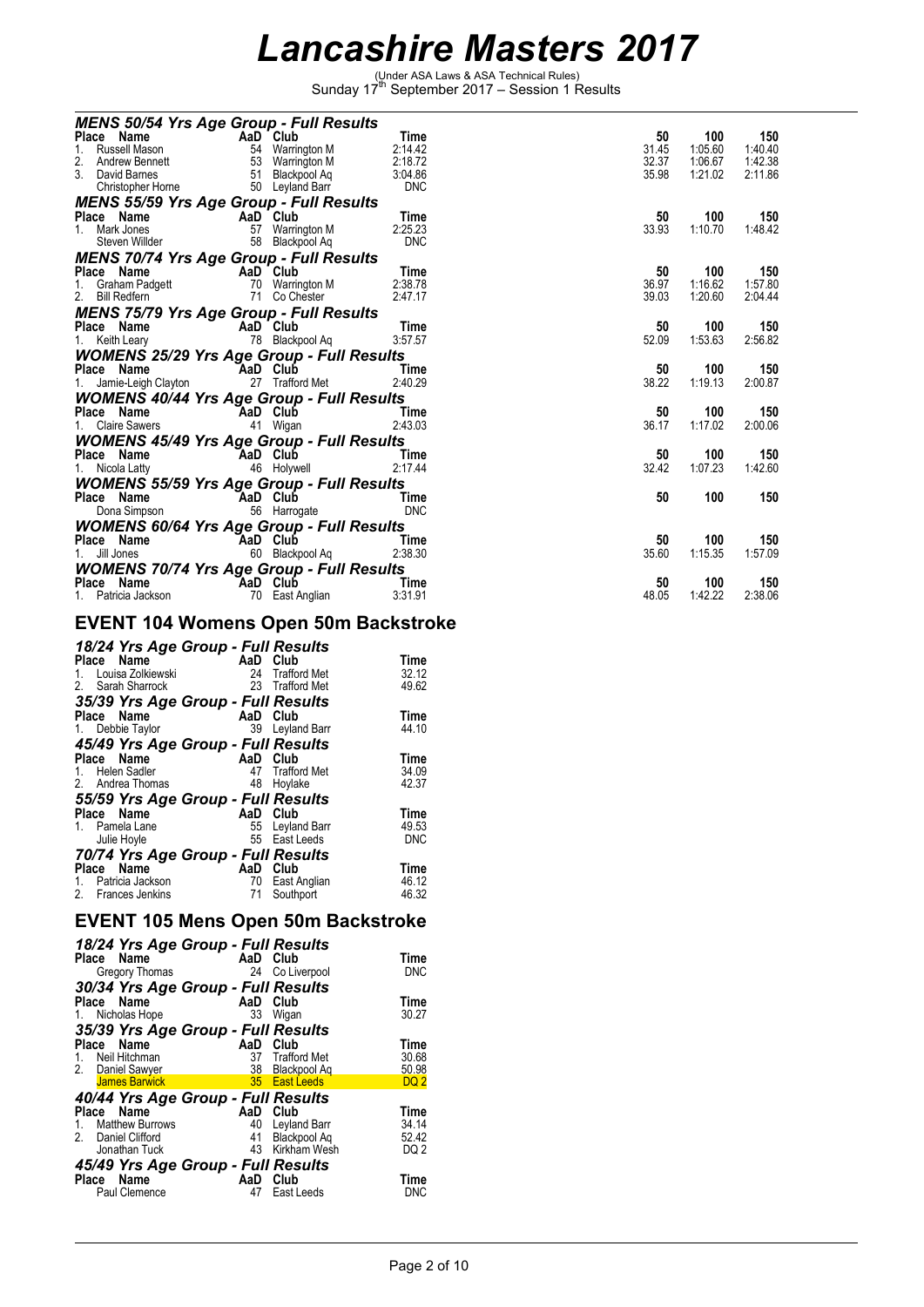(Under ASA Laws & ASA Technical Rules) Sunday 17th September 2017 – Session 1 Results

| <b>MENS 50/54 Yrs Age Group - Full Results</b>            |                 |                 |            |       |         |         |
|-----------------------------------------------------------|-----------------|-----------------|------------|-------|---------|---------|
| Place Name                                                |                 | AaD Club        | Time       | 50    | 100     | 150     |
| 1. Russell Mason                                          |                 | 54 Warrington M | 2:14.42    | 31.45 | 1:05.60 | 1:40.40 |
| 2.<br>Andrew Bennett                                      |                 | 53 Warrington M | 2:18.72    | 32.37 | 1:06.67 | 1:42.38 |
| 3.<br>David Barnes                                        |                 | 51 Blackpool Aq | 3:04.86    | 35.98 | 1:21.02 | 2:11.86 |
| Christopher Horne                                         |                 | 50 Leyland Barr | <b>DNC</b> |       |         |         |
| <b>MENS 55/59 Yrs Age Group - Full Results</b>            |                 |                 |            |       |         |         |
| Place Name<br><b>Example 2</b> AaD Club                   |                 |                 | Time       | 50    | 100     | 150     |
| 1. Mark Jones                                             |                 | 57 Warrington M | 2:25.23    | 33.93 | 1:10.70 | 1:48.42 |
| Steven Willder <b>Steven</b>                              |                 | 58 Blackpool Ag | <b>DNC</b> |       |         |         |
| <b>MENS 70/74 Yrs Age Group - Full Results</b>            |                 |                 |            |       |         |         |
| <b>Prace Name</b><br>1. Graham Padgett<br>2. Bill Podform |                 |                 | Time       | 50    | 100     | 150     |
|                                                           |                 | 70 Warrington M | 2:38.78    | 36.97 | 1:16.62 | 1:57.80 |
| 2. Bill Redfern                                           |                 | 71 Co Chester   | 2:47.17    | 39.03 | 1:20.60 | 2:04.44 |
| <b>MENS 75/79 Yrs Age Group - Full Results</b>            |                 |                 |            |       |         |         |
| Place Name AaD Club                                       |                 |                 | Time       | 50    | 100     | 150     |
| 1. Keith Leary <b>Example 20</b>                          |                 | 78 Blackpool Aq | 3:57.57    | 52.09 | 1:53.63 | 2:56.82 |
| <b>WOMENS 25/29 Yrs Age Group - Full Results</b>          |                 |                 |            |       |         |         |
| Place Name                                                | <b>AaD</b> Club |                 | Time       | 50    | 100     | 150     |
| 1. Jamie-Leigh Clayton                                    |                 | 27 Trafford Met | 2:40.29    | 38.22 | 1:19.13 | 2:00.87 |
| <b>WOMENS 40/44 Yrs Age Group - Full Results</b>          |                 |                 |            |       |         |         |
| <b>Example 2</b> AaD Club<br>Place Name                   |                 |                 | Time       | 50    | 100     | 150     |
| 1. Claire Sawers                                          |                 | 41 Wigan        | 2:43.03    | 36.17 | 1:17.02 | 2:00.06 |
|                                                           |                 |                 |            |       |         |         |
| <b>WOMENS 45/49 Yrs Age Group - Full Results</b>          |                 |                 |            |       |         |         |
| Place Name<br><b>Example 2</b> AaD Club                   |                 |                 | Time       | 50    | 100     | 150     |
| 1. Nicola Latty                                           |                 | 46 Holywell     | 2:17.44    | 32.42 | 1:07.23 | 1:42.60 |
| <b>WOMENS 55/59 Yrs Age Group - Full Results</b>          |                 |                 |            |       |         |         |
| Place Name<br><b>Example 2</b> AaD Club                   |                 |                 | Time       | 50    | 100     | 150     |
| Dona Simpson                                              |                 | 56 Harrogate    | <b>DNC</b> |       |         |         |
| <b>WOMENS 60/64 Yrs Age Group - Full Results</b>          |                 |                 |            |       |         |         |
| Place Name<br><b>Example 21 AaD</b> Club                  |                 |                 | Time       | 50    | 100     | 150     |
| Jill Jones                                                |                 | 60 Blackpool Aq | 2:38.30    | 35.60 | 1:15.35 | 1:57.09 |
| <b>WOMENS 70/74 Yrs Age Group - Full Results</b>          |                 |                 |            |       |         |         |
| Place Name                                                | AaD Club        |                 | Time       | 50    | 100     | 150     |
| 1. Patricia Jackson                                       |                 | 70 East Anglian | 3:31.91    | 48.05 | 1:42.22 | 2:38.06 |
|                                                           |                 |                 |            |       |         |         |

### **EVENT 104 Womens Open 50m Backstroke**

| 18/24 Yrs Age Group - Full Results<br>AaD Club<br>Name<br>Place | Time<br>32.12 |
|-----------------------------------------------------------------|---------------|
|                                                                 |               |
| Louisa Zolkiewski<br>24<br>Trafford Met<br>1.                   |               |
| Sarah Sharrock<br>23<br><b>Trafford Met</b><br>2.               | 49.62         |
| 35/39 Yrs Age Group - Full Results                              |               |
| AaD Club<br>Place Name                                          | Time          |
| 39 Leyland Barr<br>1. Debbie Taylor                             | 44.10         |
| 45/49 Yrs Age Group - Full Results                              |               |
| Name<br>AaD Club<br>Place                                       | Time          |
| Trafford Met<br>47<br>1. Helen Sadler                           | 34.09         |
| 2. Andrea Thomas<br>48<br>Hoylake                               | 42.37         |
| 55/59 Yrs Age Group - Full Results                              |               |
| Name<br>AaD Club<br>Place                                       | Time          |
| 55<br>Pamela Lane<br>Leyland Barr                               | 49.53         |
| 55 East Leeds<br>Julie Hoyle                                    | <b>DNC</b>    |
| 70/74 Yrs Age Group - Full Results                              |               |
| AaD Club<br>Place Name                                          | <b>Time</b>   |
| Patricia Jackson<br>70<br>East Anglian<br>$1_{-}$               | 46.12         |
| 2.<br>Frances Jenkins<br>Southport<br>71                        | 46.32         |

### **EVENT 105 Mens Open 50m Backstroke**

| 18/24 Yrs Age Group - Full Results                                                                                                                                                          |                                           |
|---------------------------------------------------------------------------------------------------------------------------------------------------------------------------------------------|-------------------------------------------|
| AaD Club<br>Place Name<br>24 Co Liverpool<br>Gregory Thomas                                                                                                                                 | Time<br><b>DNC</b>                        |
| 30/34 Yrs Age Group - Full Results<br>Place Name<br>AaD Club<br>33<br>1. Nicholas Hope<br>Wigan                                                                                             | Time<br>30.27                             |
| 35/39 Yrs Age Group - Full Results<br>Place Name<br>AaD Club<br>1. Neil Hitchman<br>37 Trafford Met<br>2. Daniel Sawyer<br>38<br>Blackpool Ag<br>James Barwick<br>35 East Leeds             | Time<br>30.68<br>50.98<br>DQ <sub>2</sub> |
| 40/44 Yrs Age Group - Full Results<br>AaD Club<br>Place Name<br>1. Matthew Burrows<br>40<br>Leyland Barr<br>2. Daniel Clifford<br>Blackpool Aq<br>41<br>Kirkham Wesh<br>43<br>Jonathan Tuck | Time<br>34.14<br>52.42<br>DQ <sub>2</sub> |
| 45/49 Yrs Age Group - Full Results<br>Club<br>AaD<br>Place Name<br>Paul Clemence<br>47<br>East Leeds                                                                                        | Time<br>DNC                               |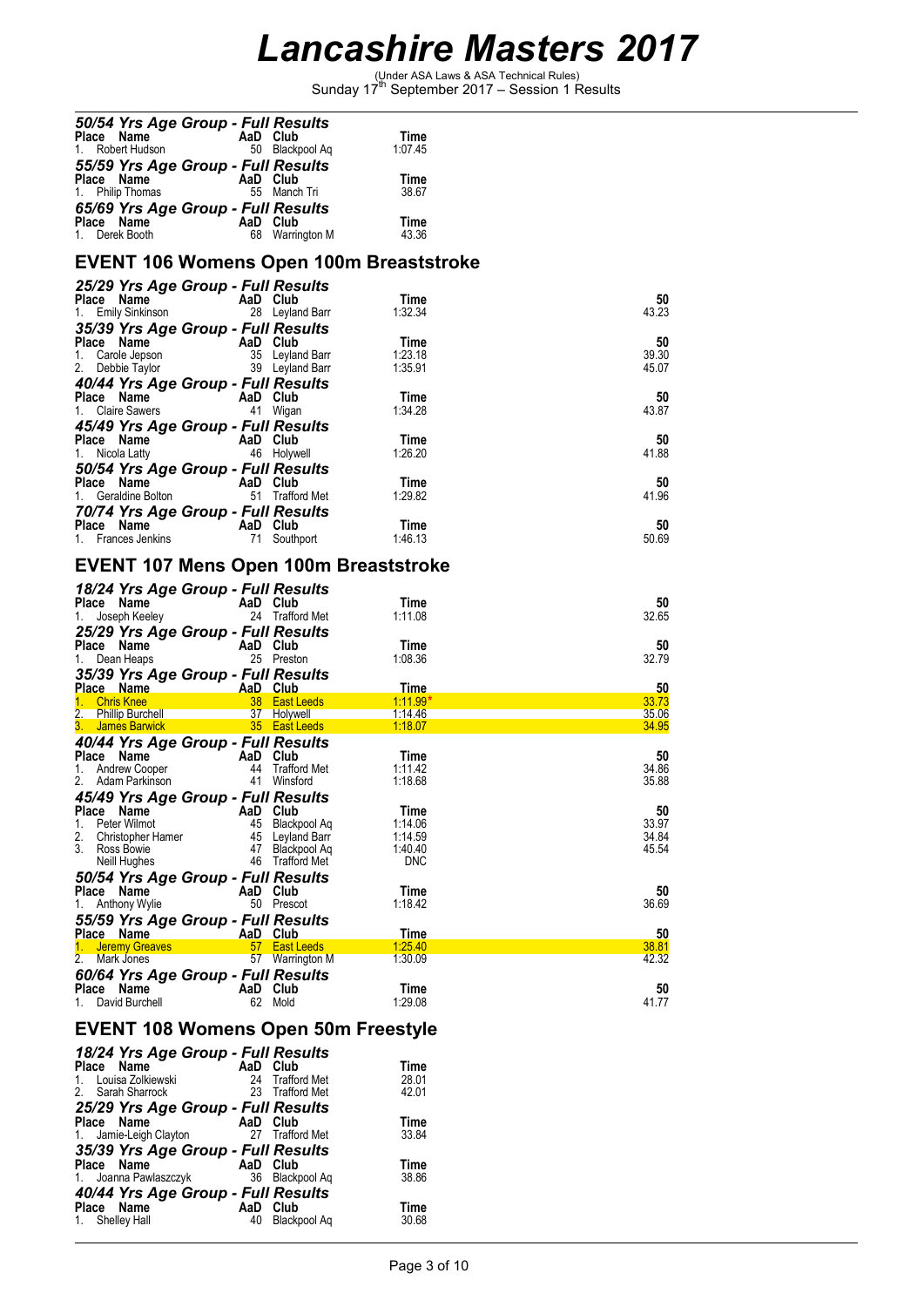(Under ASA Laws & ASA Technical Rules) Sunday 17th September 2017 – Session 1 Results

| 50/54 Yrs Age Group - Full Results                                                                                                                          |          |                                        | Time                           |                |  |  |
|-------------------------------------------------------------------------------------------------------------------------------------------------------------|----------|----------------------------------------|--------------------------------|----------------|--|--|
| <b>Place Name</b><br>1. Robert Hudson<br>1. Robert Hudson<br>1. Blackp                                                                                      |          | 50 Blackpool Aq                        | 1:07.45                        |                |  |  |
| 55/59 Yrs Age Group - Full Results                                                                                                                          |          |                                        | Time                           |                |  |  |
| Place Name<br>1. Philip Thomas<br>1. Philip Thomas<br>1. Philip Thomas                                                                                      |          | 55 Manch Tri                           | 38.67                          |                |  |  |
| 65/69 Yrs Age Group - Full Results                                                                                                                          |          |                                        | Time                           |                |  |  |
| Place Name<br>1. Derek Booth 68 Warrington M                                                                                                                |          |                                        | 43.36                          |                |  |  |
| <b>EVENT 106 Womens Open 100m Breaststroke</b>                                                                                                              |          |                                        |                                |                |  |  |
| 25/29 Yrs Age Group - Full Results                                                                                                                          |          |                                        |                                |                |  |  |
| Place Name<br><b>Place Name</b><br>1. Emily Sinkinson <b>Canada Care 1. Emily Sinkinson</b> 28 Leyland Barr                                                 |          |                                        | Time<br>1:32.34                | 50<br>43.23    |  |  |
|                                                                                                                                                             |          |                                        |                                |                |  |  |
|                                                                                                                                                             |          |                                        | Time<br>1:23.18                | 50<br>39.30    |  |  |
|                                                                                                                                                             |          |                                        | 1:35.91                        | 45.07          |  |  |
| Prace Name<br>1. Carole Jepson<br>2. Debbie Taylor<br>40/44 Yrs Age Group - Full Press and Bar<br>40/44 Yrs Age Group - Full Press and Bar                  |          |                                        |                                |                |  |  |
| <b>Place Name</b><br>1. Claire Sawers<br>1. Claire Sawers<br>1. Wigan                                                                                       |          |                                        | Time<br>1:34.28                | 50<br>43.87    |  |  |
| 45/49 Yrs Age Group - Full Results                                                                                                                          |          |                                        |                                |                |  |  |
| <b>Place Name</b><br>1. Nicola Latty <b>Canadian AD Club</b><br>46 Holywell                                                                                 |          |                                        | Time<br>1:26.20                | 50<br>41.88    |  |  |
| 50/54 Yrs Age Group - Full Results                                                                                                                          |          |                                        |                                |                |  |  |
| <b>Place Name</b><br>1. Geraldine Bolton<br>1. Geraldine Bolton<br>1. Geraldine Bolton<br>1. Geraldine Bolton<br>1. Geraldine Bolton<br>1. Geraldine Bolton |          |                                        | Time<br>1.29.82                | 50             |  |  |
| 70/74 Yrs Age Group - Full Results                                                                                                                          |          |                                        |                                | 41.96          |  |  |
| Place Name<br>1. Frances Jenkins<br>1 South                                                                                                                 |          |                                        | Time                           | 50             |  |  |
|                                                                                                                                                             |          | 71 Southport                           | 1:46.13                        | 50.69          |  |  |
| <b>EVENT 107 Mens Open 100m Breaststroke</b>                                                                                                                |          |                                        |                                |                |  |  |
| 18/24 Yrs Age Group - Full Results                                                                                                                          |          |                                        | Time                           | 50             |  |  |
| <b>Place Name</b><br>1. Joseph Keeley<br>1. Joseph Keeley<br>24 Trafford Met                                                                                |          |                                        | 1:11.08                        | 32.65          |  |  |
| 25/29 Yrs Age Group - Full Results                                                                                                                          |          |                                        |                                |                |  |  |
| Place Name<br>1. Dean Heaps<br>1. Dean Heaps<br>25 Preston                                                                                                  |          |                                        | Time<br>1:08.36                | 50<br>32.79    |  |  |
| 35/39 Yrs Age Group - Full Results                                                                                                                          |          |                                        |                                |                |  |  |
| Place Name <b>AaD Club</b><br>1. Chris Knee 38 East Leeds                                                                                                   |          |                                        | <u>Time</u><br><u>1:11.99*</u> | 50<br>33.73    |  |  |
|                                                                                                                                                             |          |                                        | 1:14.46                        | 35.06          |  |  |
| 40/44 Yrs Age Group - Full Results                                                                                                                          |          |                                        | 1:18.07                        | 34.95          |  |  |
|                                                                                                                                                             |          |                                        | Time                           | 50             |  |  |
| Place Name AaD Club<br>1. Andrew Cooper 44 Trafford Met<br>2. Adam Parkinson 41 Winsford                                                                    |          |                                        | 1:11.42<br>1:18.68             | 34.86<br>35.88 |  |  |
| 45/49 Yrs Age Group - Full Results                                                                                                                          |          |                                        |                                |                |  |  |
| Place<br>Name<br>1.<br>Peter Wilmot                                                                                                                         | AaD      | Club<br>45 Blackpool Aq                | Time<br>1:14.06                | 50<br>33.97    |  |  |
| 2.<br>Christopher Hamer                                                                                                                                     |          | 45 Leyland Barr                        | 1:14.59                        | 34.84          |  |  |
| 3.<br>Ross Bowie<br>Neill Hughes                                                                                                                            | 47       | Blackpool Aq<br>46 Trafford Met        | 1:40.40<br><b>DNC</b>          | 45.54          |  |  |
| 50/54 Yrs Age Group - Full Results                                                                                                                          |          |                                        |                                |                |  |  |
| Place Name<br>Anthony Wylie<br>1.                                                                                                                           | AaD Club | 50 Prescot                             | Time<br>1:18.42                | 50<br>36.69    |  |  |
| 55/59 Yrs Age Group - Full Results                                                                                                                          |          |                                        |                                |                |  |  |
| Place Name<br>1. Jeremy Greaves                                                                                                                             | AaD Club | 57 East Leeds                          | Time<br><u>1:25.40</u>         | 50<br>38.81    |  |  |
| Mark Jones<br>2.                                                                                                                                            |          | 57 Warrington M                        | 1:30.09                        | 42.32          |  |  |
| 60/64 Yrs Age Group - Full Results                                                                                                                          |          |                                        |                                |                |  |  |
| Place Name<br>David Burchell<br>1.                                                                                                                          | AaD Club | 62 Mold                                | Time<br>1:29.08                | 50<br>41.77    |  |  |
| <b>EVENT 108 Womens Open 50m Freestyle</b>                                                                                                                  |          |                                        |                                |                |  |  |
| 18/24 Yrs Age Group - Full Results                                                                                                                          |          |                                        |                                |                |  |  |
| Place Name                                                                                                                                                  | AaD Club |                                        | Time                           |                |  |  |
| Louisa Zolkiewski<br>1.<br>2.<br>Sarah Sharrock                                                                                                             | 24       | <b>Trafford Met</b><br>23 Trafford Met | 28.01<br>42.01                 |                |  |  |
| 25/29 Yrs Age Group - Full Results                                                                                                                          |          |                                        |                                |                |  |  |
| Place Name<br>Jamie-Leigh Clayton<br>1.                                                                                                                     | AaD Club | 27 Trafford Met                        | Time<br>33.84                  |                |  |  |
| 35/39 Yrs Age Group - Full Results                                                                                                                          |          |                                        |                                |                |  |  |

**Place Name AaD Club Time** 1. Joanna Pawlaszczyk 36 Blackpool Aq 38.86

**Place Name AaD Club Time**<br>1. Shelley Hall 40 Blackpool Aq 30.68

*40/44 Yrs Age Group - Full Results*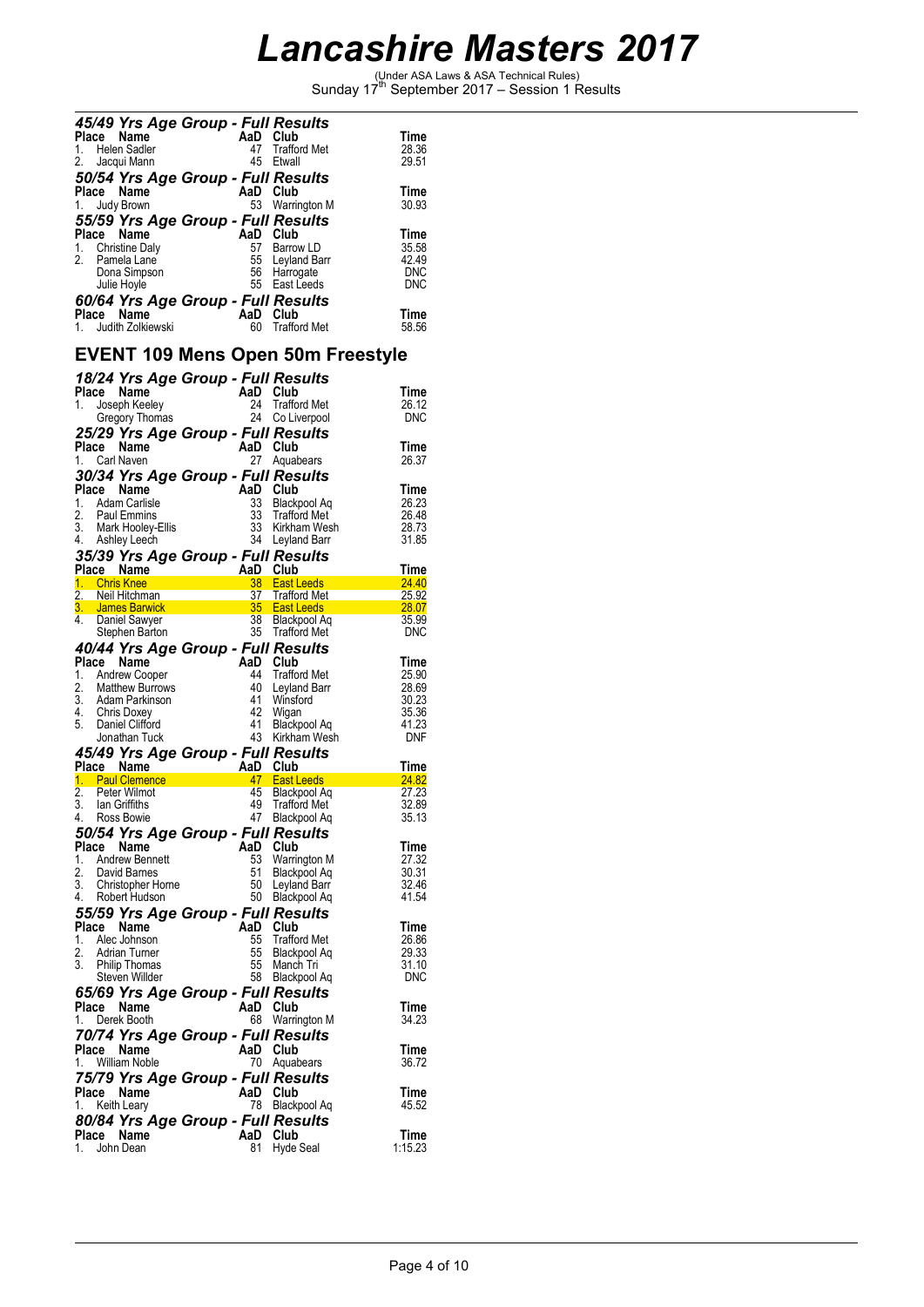(Under ASA Laws & ASA Technical Rules) Sunday 17th September 2017 – Session 1 Results

|             | 45/49 Yrs Age Group - Full Results               |                 |                                          |                 |
|-------------|--------------------------------------------------|-----------------|------------------------------------------|-----------------|
| Place       | Name                                             | AaD             | Club                                     | Time            |
| 1.          | Helen Sadler                                     | 47              | Trafford Met                             | 28.36           |
| 2.          | Jacqui Mann                                      | 45              | Etwall                                   | 29.51           |
|             | 50/54 Yrs Age Group - Full Results               |                 |                                          |                 |
| Place       | Name                                             | AaD Club        |                                          | Time            |
| 1.          | Judy Brown                                       |                 | 53 Warrington M                          | 30.93           |
|             | 55/59 Yrs Age Group - Full Results               |                 |                                          |                 |
| Place<br>1. | Name<br><b>Christine Daly</b>                    | AaD<br>57       | Club<br>Barrow LD                        | Time<br>35.58   |
| 2.          | Pamela Lane                                      | 55              | Leyland Barr                             | 42.49           |
|             | Dona Simpson                                     | 56              | Harrogate                                | <b>DNC</b>      |
|             | Julie Hoyle                                      | 55              | East Leeds                               | <b>DNC</b>      |
|             | 60/64 Yrs Age Group - Full Results               |                 |                                          |                 |
| Place       | Name                                             | AaD Club        |                                          | Time            |
|             | 1. Judith Zolkiewski                             | 60              | <b>Trafford Met</b>                      | 58.56           |
|             |                                                  |                 |                                          |                 |
|             |                                                  |                 | <b>EVENT 109 Mens Open 50m Freestyle</b> |                 |
|             | 18/24 Yrs Age Group - Full Results               |                 |                                          |                 |
|             | Place Name                                       | AaD Club        |                                          | Time            |
| 1.          | Joseph Keeley                                    | 24              | <b>Trafford Met</b>                      | 26.12           |
|             | Gregory Thomas                                   | 24              | Co Liverpool                             | <b>DNC</b>      |
|             | 25/29 Yrs Age Group - Full Results               |                 |                                          |                 |
|             | Place Name                                       | AaD Club        |                                          | Time            |
| 1.          | Carl Naven                                       | 27              | Aquabears                                | 26.37           |
|             | 30/34 Yrs Age Group - Full Results               |                 |                                          |                 |
|             | Place Name                                       | AaD Club        |                                          | Time            |
| 1.          | Adam Carlisle                                    | 33              | Blackpool Ag                             | 26.23           |
| 2.<br>3.    | Paul Emmins                                      | 33<br>33        | <b>Trafford Met</b><br>Kirkham Wesh      | 26.48<br>28.73  |
| 4.          | Mark Hooley-Ellis<br>Ashley Leech                | 34              | Leyland Barr                             | 31.85           |
|             |                                                  |                 |                                          |                 |
|             | 35/39 Yrs Age Group - Full Results<br>Place Name | AaD Club        |                                          | Time            |
| 1.          | <b>Chris Knee</b>                                | 38              | <b>East Leeds</b>                        | 24.40           |
|             | 2. Neil Hitchman                                 | 37 <sup>2</sup> | Trafford Met                             | 25.92           |
|             | 3. James Barwick                                 | 35 <sup>2</sup> | <b>East Leeds</b>                        | 28.07           |
| 4.          | Daniel Sawyer                                    | 38              | Blackpool Aq                             | 35.99           |
|             |                                                  |                 |                                          |                 |
|             | Stephen Barton                                   |                 | 35 Trafford Met                          | <b>DNC</b>      |
|             | 40/44 Yrs Age Group - Full Results               |                 |                                          |                 |
| Place       | Name                                             | AaD Club        |                                          | Time            |
| 1.          | <b>Andrew Cooper</b>                             | 44              | Trafford Met                             | 25.90           |
| 2.          | Matthew Burrows                                  | 40              | Leyland Barr                             | 28.69           |
|             | 3. Adam Parkinson                                | 41              | Winsford                                 | 30.23           |
|             | 4. Chris Doxey                                   | 42<br>41        | Wigan                                    | 35.36<br>41.23  |
|             | 5. Daniel Clifford<br>Jonathan Tuck              |                 | Blackpool Aq<br>43 Kirkham Wesh          | <b>DNF</b>      |
|             |                                                  |                 |                                          |                 |
|             | 45/49 Yrs Age Group - Full Results               | AaD             | Club                                     | Time            |
|             | Place Name<br>1. Paul Clemence                   | 47              | East Leeds                               | 24.82           |
| 2.          | Peter Wilmot                                     | 45              | <b>Blackpool Aq</b>                      | 27.23           |
| 3.          | lan Griffiths                                    | 49              | <b>Trafford Met</b>                      | 32.89           |
| 4.          | Ross Bowie                                       | 47              | Blackpool Aq                             | 35.13           |
|             | 50/54 Yrs Age Group - Full Results               |                 |                                          |                 |
| Place       | Name                                             | AaD             | Club                                     | Time            |
| 1.          | <b>Andrew Bennett</b>                            | 53              | Warrington M                             | 27.32           |
| 2.          | David Barnes                                     | 51              | Blackpool Aq                             | 30.31           |
| 3.          | Christopher Horne<br>Robert Hudson               | 50<br>50        | Leyland Barr                             | 32.46<br>41.54  |
| 4.          |                                                  |                 | Blackpool Aq                             |                 |
|             | 55/59 Yrs Age Group - Full Results               |                 |                                          |                 |
| Place       | Name<br>Alec Johnson                             | AaD<br>55       | Club                                     | Time            |
| 1.<br>2.    | <b>Adrian Turner</b>                             | 55              | <b>Trafford Met</b><br>Blackpool Aq      | 26.86<br>29.33  |
| 3.          | <b>Philip Thomas</b>                             | 55              | Manch Tri                                | 31.10           |
|             | Steven Willder                                   | 58              | Blackpool Aq                             | <b>DNC</b>      |
|             | 65/69 Yrs Age Group - Full Results               |                 |                                          |                 |
| Place       | Name                                             | AaD Club        |                                          | Time            |
| 1.          | Derek Booth                                      | 68              | Warrington M                             | 34.23           |
|             | 70/74 Yrs Age Group - Full Results               |                 |                                          |                 |
|             | Place Name                                       | AaD Club        |                                          | Time            |
| 1.          | <b>William Noble</b>                             | 70              | Aquabears                                | 36.72           |
|             | 75/79 Yrs Age Group - Full Results               |                 |                                          |                 |
| Place       | Name                                             | AaD             | Club                                     | Time            |
| 1.          | Keith Leary                                      | 78              | Blackpool Aq                             | 45.52           |
|             | 80/84 Yrs Age Group - Full Results               |                 |                                          |                 |
| 1.          | Place Name<br>John Dean                          | AaD<br>81       | Club<br>Hyde Seal                        | Time<br>1:15.23 |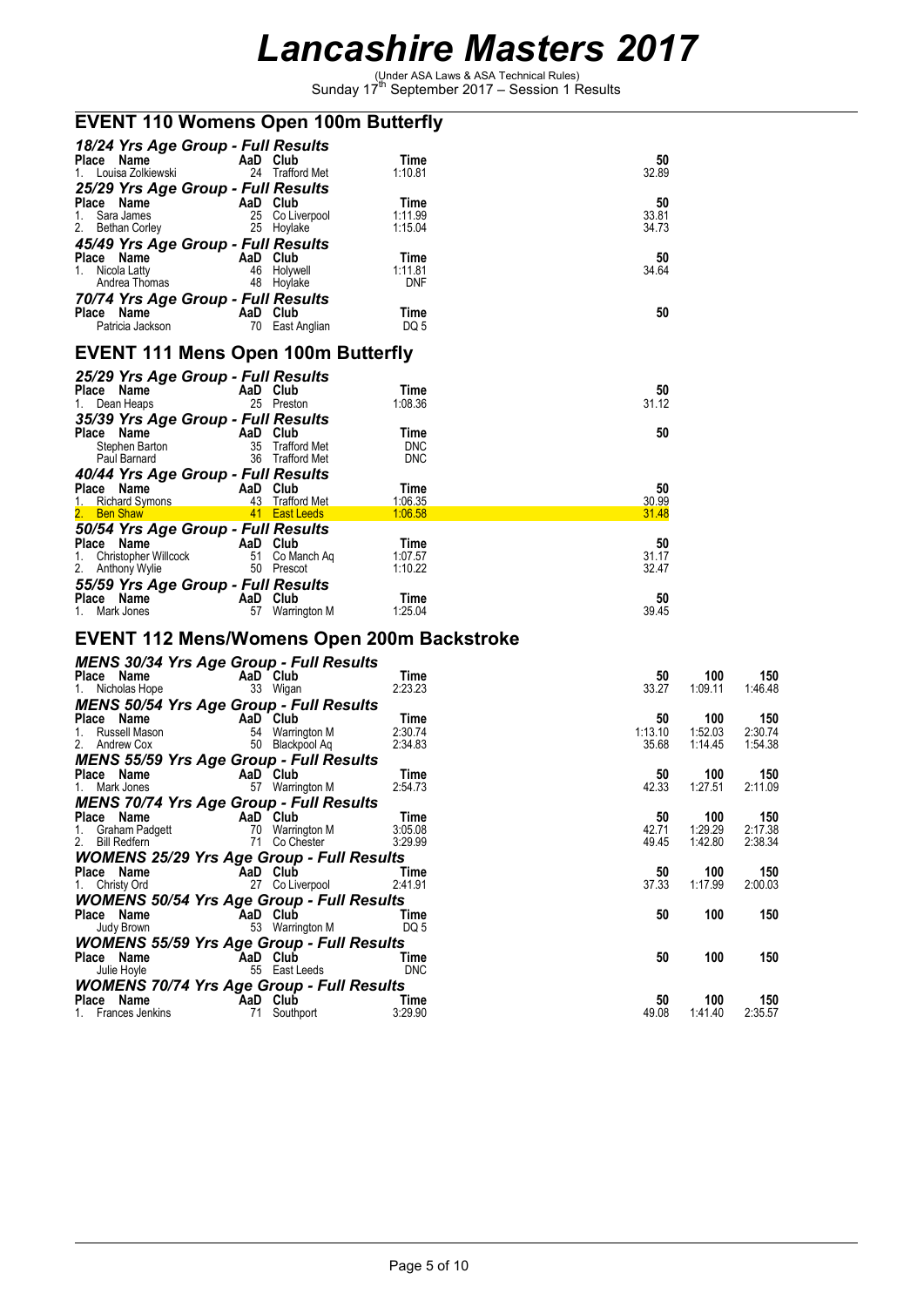(Under ASA Laws & ASA Technical Rules) Sunday 17th September 2017 – Session 1 Results

|                                                                    | <b>EVENT 110 Womens Open 100m Butterfly</b> |                       |                |                |                |  |  |  |
|--------------------------------------------------------------------|---------------------------------------------|-----------------------|----------------|----------------|----------------|--|--|--|
| 18/24 Yrs Age Group - Full Results                                 |                                             |                       |                |                |                |  |  |  |
| Place Name<br>1. Louisa Zolkiewski                                 | AaD Club<br>24 Trafford Met                 | Time<br>1:10.81       | 50<br>32.89    |                |                |  |  |  |
| 25/29 Yrs Age Group - Full Results                                 |                                             |                       |                |                |                |  |  |  |
| Place Name<br>AaD Club                                             |                                             | Time                  | 50             |                |                |  |  |  |
| 1. Sara James<br>2. Bethan Corley                                  | 25 Co Liverpool<br>25 Hoylake               | 1:11.99<br>1:15.04    | 33.81<br>34.73 |                |                |  |  |  |
| 45/49 Yrs Age Group - Full Results                                 |                                             |                       |                |                |                |  |  |  |
| Place Name                                                         | AaD Club                                    | Time                  | 50             |                |                |  |  |  |
| 1. Nicola Latty<br>Andrea Thomas                                   | 46 Holywell<br>48 Hoylake                   | 1:11.81<br><b>DNF</b> | 34.64          |                |                |  |  |  |
| 70/74 Yrs Age Group - Full Results                                 |                                             |                       |                |                |                |  |  |  |
| Place Name                                                         | AaD Club                                    | Time                  | 50             |                |                |  |  |  |
| Patricia Jackson                                                   | 70 East Anglian                             | DQ 5                  |                |                |                |  |  |  |
| <b>EVENT 111 Mens Open 100m Butterfly</b>                          |                                             |                       |                |                |                |  |  |  |
| 25/29 Yrs Age Group - Full Results                                 |                                             |                       |                |                |                |  |  |  |
| Place Name                                                         | AaD Club                                    | Time                  | 50             |                |                |  |  |  |
| 1. Dean Heaps                                                      | 25 Preston                                  | 1:08.36               | 31.12          |                |                |  |  |  |
| 35/39 Yrs Age Group - Full Results<br>Place Name                   | AaD Club                                    | Time                  | 50             |                |                |  |  |  |
| Stephen Barton                                                     | 35 Trafford Met                             | <b>DNC</b>            |                |                |                |  |  |  |
| Paul Barnard                                                       | 36 Trafford Met                             | <b>DNC</b>            |                |                |                |  |  |  |
| 40/44 Yrs Age Group - Full Results                                 |                                             |                       |                |                |                |  |  |  |
| Place Name<br>1. Richard Symons                                    | AaD Club<br>43 Trafford Met                 | Time<br>1:06.35       | 50<br>30.99    |                |                |  |  |  |
| 2. Ben Shaw in the Shaw                                            | <b>East Leeds</b>                           | 1:06.58               | 31.48          |                |                |  |  |  |
| 50/54 Yrs Age Group - Full Results                                 |                                             |                       |                |                |                |  |  |  |
| Place Name<br><b>Example 2 AaD</b> Club<br>1. Christopher Willcock | 51 Co Manch Ag                              | Time<br>1:07.57       | 50<br>31.17    |                |                |  |  |  |
| 2. Anthony Wylie                                                   | 50 Prescot                                  | 1:10.22               | 32.47          |                |                |  |  |  |
| 55/59 Yrs Age Group - Full Results                                 |                                             |                       |                |                |                |  |  |  |
| Place Name                                                         | AaD Club                                    | Time                  | 50             |                |                |  |  |  |
| 1. Mark Jones                                                      | 57 Warrington M                             | 1:25.04               | 39.45          |                |                |  |  |  |
| <b>EVENT 112 Mens/Womens Open 200m Backstroke</b>                  |                                             |                       |                |                |                |  |  |  |
| <b>MENS 30/34 Yrs Age Group - Full Results</b>                     |                                             |                       |                |                |                |  |  |  |
| Place Name<br>1. Nicholas Hope                                     | AaD Club<br>33 Wigan                        | Time<br>2:23.23       | 50<br>33.27    | 100<br>1:09.11 | 150<br>1:46.48 |  |  |  |
| <b>MENS 50/54 Yrs Age Group - Full Results</b>                     |                                             |                       |                |                |                |  |  |  |
| Place Name                                                         | AaD Club                                    | Time                  | 50             | 100            | 150            |  |  |  |
| 1. Russell Mason                                                   | 54 Warrington M                             | 2:30.74               | 1:13.10        | 1:52.03        | 2:30.74        |  |  |  |
| 2. Andrew Cox                                                      | 50 Blackpool Aq                             | 2:34.83               | 35.68          | 1:14.45        | 1:54.38        |  |  |  |
| <b>MENS 55/59 Yrs Age Group - Full Results</b><br>Place Name       | AaD Club                                    | Time                  | 50             | 100            | 150            |  |  |  |
| 1. Mark Jones                                                      | 57 Warrington M                             | 2:54.73               | 42.33          | 1:27.51        | 2:11.09        |  |  |  |
| MENS 70/74 Yrs Age Group - Full Results                            |                                             |                       |                |                |                |  |  |  |
| Place Name<br>Graham Padgett<br>1.                                 | AaD Club<br>70 Warrington M                 | Time<br>3:05.08       | 50<br>42.71    | 100<br>1:29.29 | 150<br>2:17.38 |  |  |  |
| 2. Bill Redfern                                                    | 71 Co Chester                               | 3:29.99               | 49.45          | 1:42.80        | 2:38.34        |  |  |  |
| <b>WOMENS 25/29 Yrs Age Group - Full Results</b>                   |                                             |                       |                |                |                |  |  |  |
| Place Name                                                         | AaD Club                                    | Time                  | 50             | 100            | 150            |  |  |  |
| 1. Christy Ord<br><b>WOMENS 50/54 Yrs Age Group - Full Results</b> | 27 Co Liverpool                             | 2:41.91               | 37.33          | 1:17.99        | 2:00.03        |  |  |  |
| Place Name                                                         | AaD Club                                    | Time                  | 50             | 100            | 150            |  |  |  |
| Judy Brown                                                         | 53 Warrington M                             | DQ 5                  |                |                |                |  |  |  |
| <b>WOMENS 55/59 Yrs Age Group - Full Results</b>                   |                                             |                       |                |                |                |  |  |  |
| Place Name                                                         | AaD Club                                    | Time                  | 50             | 100            | 150            |  |  |  |
| Julie Hoyle<br><b>WOMENS 70/74 Yrs Age Group - Full Results</b>    | 55 East Leeds                               | <b>DNC</b>            |                |                |                |  |  |  |
| Place Name                                                         | AaD Club                                    | Time                  | 50             | 100            | 150            |  |  |  |
| 1. Frances Jenkins                                                 | 71 Southport                                | 3:29.90               | 49.08          | 1:41.40        | 2:35.57        |  |  |  |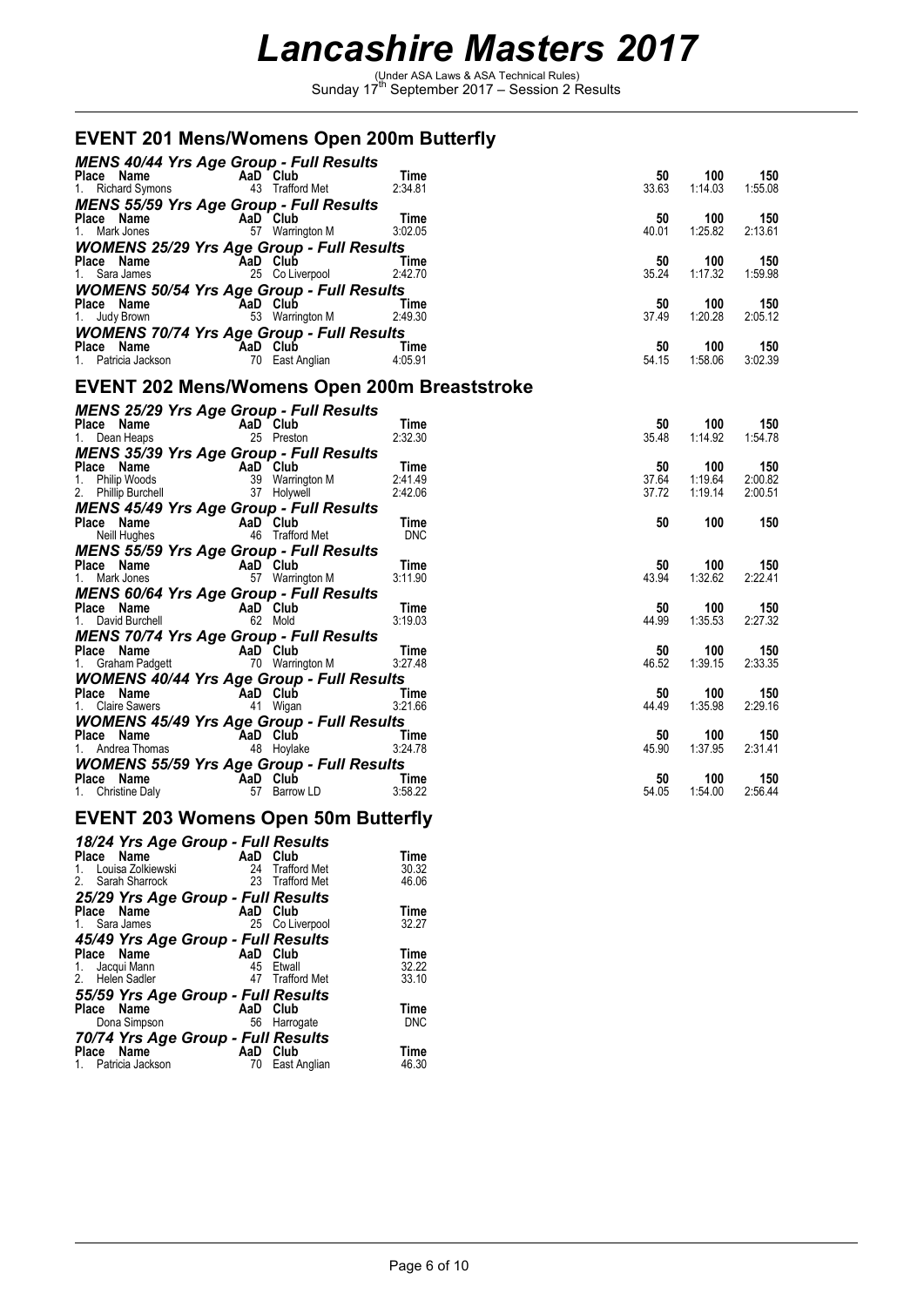(Under ASA Laws & ASA Technical Rules) Sunday 17th September 2017 – Session 2 Results

### **EVENT 201 Mens/Womens Open 200m Butterfly**

| <b>MENS 40/44 Yrs Age Group - Full Results</b>                                                                                                                                                                                                                  |                        |                 |                |                    |                    |
|-----------------------------------------------------------------------------------------------------------------------------------------------------------------------------------------------------------------------------------------------------------------|------------------------|-----------------|----------------|--------------------|--------------------|
| <b>Place Name</b><br>1. Richard Symons <b>COM</b> 43 Trafford Met                                                                                                                                                                                               |                        | Time            | 50             | 100                | 150                |
|                                                                                                                                                                                                                                                                 |                        | 2:34.81         | 33.63          | 1:14.03            | 1:55.08            |
| <b>MENS 55/59 Yrs Age Group - Full Results</b>                                                                                                                                                                                                                  |                        |                 |                |                    |                    |
| <b>Place Name</b><br>1. Mark Jones<br>1. Mark Jones<br>1. Mark Jones                                                                                                                                                                                            |                        | Time<br>3:02.05 | 50<br>40.01    | 100<br>1:25.82     | 150<br>2:13.61     |
|                                                                                                                                                                                                                                                                 |                        |                 |                |                    |                    |
| <b>WOMENS 25/29 Yrs Age Group - Full Results</b>                                                                                                                                                                                                                |                        | <b>Time</b>     | 50             | 100                | 150                |
| <b>Place Name</b><br>1. Sara James <b>COLIVE COLIVE</b><br>25 CoLiverpool                                                                                                                                                                                       |                        | 2:42.70         | 35.24          | 1:17.32            | 1:59.98            |
| <b>WOMENS 50/54 Yrs Age Group - Full Results</b>                                                                                                                                                                                                                |                        |                 |                |                    |                    |
|                                                                                                                                                                                                                                                                 |                        |                 | 50             | 100                | 150                |
| Place Name AaD Club Time<br>1. Judy Brown 53 Warrington M 2:49.30                                                                                                                                                                                               |                        |                 | 37.49          | 1:20.28            | 2:05.12            |
| <b>WOMENS 70/74 Yrs Age Group - Full Results</b>                                                                                                                                                                                                                |                        |                 |                |                    |                    |
| Place Name<br>1. Patricia Jackson<br>1. Patricia Jackson<br>10 East Anglian                                                                                                                                                                                     | <b>Example 2</b> Time  |                 | 50             | 100                | 150                |
|                                                                                                                                                                                                                                                                 |                        | 4:05.91         | 54.15          | 1:58.06            | 3:02.39            |
| <b>EVENT 202 Mens/Womens Open 200m Breaststroke</b>                                                                                                                                                                                                             |                        |                 |                |                    |                    |
| <b>MENS 25/29 Yrs Age Group - Full Results</b>                                                                                                                                                                                                                  |                        |                 |                |                    |                    |
| <b>Place Name Capacity AaD Club</b><br>1. Dean Heaps 25 Preston                                                                                                                                                                                                 |                        | Time            | 50             | 100                | 150                |
|                                                                                                                                                                                                                                                                 |                        | 2:32.30         | 35.48          | 1:14.92            | 1:54.78            |
| <b>MENS 35/39 Yrs Age Group - Full Results</b>                                                                                                                                                                                                                  |                        |                 |                |                    |                    |
|                                                                                                                                                                                                                                                                 |                        |                 | 50             | 100                | 150                |
| Place Name AaD Club<br>1. Philip Woods 39 Warrington M 2:41.49<br>2. Philip Burchell<br>2. Philip Burchell<br>2. Philip Burchell<br>2. Philip Burchell<br>2. 2.42.06                                                                                            |                        |                 | 37.64<br>37.72 | 1:19.64<br>1:19.14 | 2:00.82<br>2:00.51 |
| <b>MENS 45/49 Yrs Age Group - Full Results</b>                                                                                                                                                                                                                  |                        |                 |                |                    |                    |
|                                                                                                                                                                                                                                                                 |                        | Time            | 50             | 100                | 150                |
| Place Name<br>Neill Hughes<br>16 Trafford Met                                                                                                                                                                                                                   |                        | <b>DNC</b>      |                |                    |                    |
| <b>MENS 55/59 Yrs Age Group - Full Results</b>                                                                                                                                                                                                                  |                        |                 |                |                    |                    |
| <b>Place Name</b><br>1. Mark Jones<br>1. Mark Jones<br>1. Mark Jones<br>1. Mark Jones<br>1. Mark Jones<br>1. Mark Jones<br>1. Mark Jones<br>1. Mark Jones<br>1. Mark Jones<br>1. Mark Jones<br>1. Mark Jones<br>1. Mark Jones<br>1. Mark Jones<br>1. Mark Jones |                        | Time            | 50             | 100                | 150                |
|                                                                                                                                                                                                                                                                 |                        | 3:11.90         | 43.94          | 1:32.62            | 2:22.41            |
| <b>MENS 60/64 Yrs Age Group - Full Results</b>                                                                                                                                                                                                                  |                        |                 |                |                    |                    |
| <b>Place Name</b><br>1. David Burchell <b>Capacity</b> 62 Mold                                                                                                                                                                                                  |                        | Time<br>3:19.03 | 50<br>44.99    | 100<br>1:35.53     | 150<br>2:27.32     |
|                                                                                                                                                                                                                                                                 |                        |                 |                |                    |                    |
| <b>MENS 70/74 Yrs Age Group - Full Results</b>                                                                                                                                                                                                                  |                        | Time            | 50             | 100                | 150                |
| <b>Place Name</b><br>1. Graham Padgett <b>Container 1. Craham Padgett</b> 70 Warrington M                                                                                                                                                                       |                        | 3:27.48         | 46.52          | 1:39.15            | 2:33.35            |
| <b>WOMENS 40/44 Yrs Age Group - Full Results</b>                                                                                                                                                                                                                |                        |                 |                |                    |                    |
| Place Name AaD Club<br>1. Claire Sawers 41 Wigan                                                                                                                                                                                                                |                        | Time            | 50             | 100                | 150                |
|                                                                                                                                                                                                                                                                 |                        | 3:21.66         | 44.49          | 1:35.98            | 2:29.16            |
| <b>WOMENS 45/49 Yrs Age Group - Full Results</b>                                                                                                                                                                                                                |                        |                 |                |                    |                    |
| <b>Place Name</b><br>1. Andrea Thomas <b>AaD Club</b><br>48 Hoylake                                                                                                                                                                                             | <b>Time</b><br>3:24.78 |                 | 50             | 100                | 150                |
|                                                                                                                                                                                                                                                                 |                        |                 | 45.90          | 1:37.95            | 2:31.41            |
| <b>WOMENS 55/59 Yrs Age Group - Full Results</b>                                                                                                                                                                                                                |                        |                 |                |                    |                    |
| <b>Place Name</b><br>1. Christine Daly<br>1. Christine Daly<br>1. Christine Daly                                                                                                                                                                                | <b>Example 2</b> Time  | 3:58.22         | 50<br>54.05    | 100<br>1.54.00     | 150<br>2:56.44     |
|                                                                                                                                                                                                                                                                 |                        |                 |                |                    |                    |
| <b>EVENT 203 Womens Open 50m Butterfly</b>                                                                                                                                                                                                                      |                        |                 |                |                    |                    |

| 18/24 Yrs Age Group - Full Results                                                    |                                                             |                        |
|---------------------------------------------------------------------------------------|-------------------------------------------------------------|------------------------|
| Place Name<br>1. Louisa Zolkiewski<br>2. Sarah Sharrock                               | AaD<br>Club<br>24<br><b>Trafford Met</b><br>23 Trafford Met | Time<br>30.32<br>46.06 |
| 25/29 Yrs Age Group - Full Results<br>Place Name<br>1. Sara James                     | AaD Club<br>25 Co Liverpool                                 | Time<br>32.27          |
| 45/49 Yrs Age Group - Full Results<br>Place Name<br>1. Jacqui Mann<br>2. Helen Sadler | AaD Club<br>45<br>Etwall<br>47 Trafford Met                 | Time<br>32.22<br>33.10 |
| 55/59 Yrs Age Group - Full Results<br>Place Name<br>Dona Simpson                      | AaD Club<br>56 Harrogate                                    | Time<br><b>DNC</b>     |
| 70/74 Yrs Age Group - Full Results<br>Place Name<br>1. Patricia Jackson               | AaD<br>Club<br>East Anglian<br>70                           | Time<br>46.30          |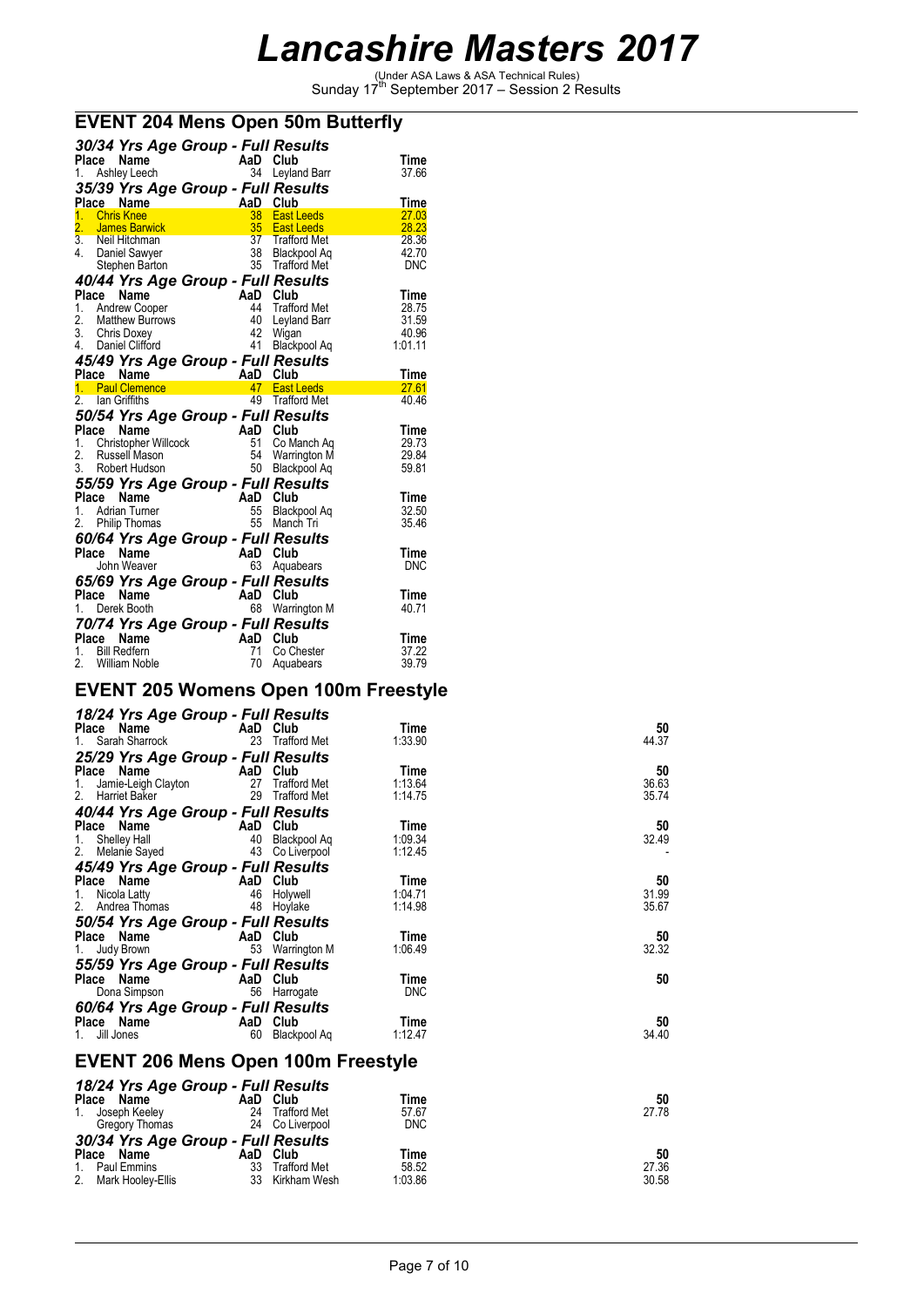(Under ASA Laws & ASA Technical Rules) Sunday 17th September 2017 – Session 2 Results

|          |       |                                      | 30/34 Yrs Age Group - Full Results                                                                                                                                                                                                   |                 |                              |               |
|----------|-------|--------------------------------------|--------------------------------------------------------------------------------------------------------------------------------------------------------------------------------------------------------------------------------------|-----------------|------------------------------|---------------|
|          |       | Place Name                           |                                                                                                                                                                                                                                      | AaD Club        |                              | Time          |
| 1.       |       | Ashley Leech                         |                                                                                                                                                                                                                                      |                 | 34 Leyland Barr              | 37.66         |
|          |       |                                      | 35/39 Yrs Age Group - Full Results                                                                                                                                                                                                   |                 |                              |               |
|          |       | Place Name                           |                                                                                                                                                                                                                                      | AaD Club        |                              | Time          |
|          |       | 1. Chris Knee                        |                                                                                                                                                                                                                                      | 38 <sup>2</sup> | <b>East Leeds</b>            | 27.03         |
|          |       |                                      | 2. James Barwick <b>Communist Communist Communist Communist Communist Communist Communist Communist Communist Communist Communist Communist Communist Communist Communist Communist Communist Communist Communist Communist Comm</b> | 35 <sup>2</sup> | <b>East Leeds</b>            | 28.23         |
|          |       |                                      |                                                                                                                                                                                                                                      |                 | 37 Trafford Met              | 28.36         |
|          |       | 3. Neil Hitchman<br>4. Daniel Sawyer |                                                                                                                                                                                                                                      |                 | 38 Blackpool Aq              | 42.70         |
|          |       | Stephen Barton                       |                                                                                                                                                                                                                                      |                 | 35 Trafford Met              | <b>DNC</b>    |
|          |       |                                      | 40/44 Yrs Age Group - Full Results                                                                                                                                                                                                   |                 |                              |               |
|          | Place | Name                                 |                                                                                                                                                                                                                                      | AaD Club        |                              | Time          |
| 1.       |       | Andrew Cooper                        |                                                                                                                                                                                                                                      | 44              | <b>Trafford Met</b>          | 28.75         |
| 2.       |       | Matthew Burrows                      |                                                                                                                                                                                                                                      | 40              | Leyland Barr                 | 31.59         |
|          |       |                                      |                                                                                                                                                                                                                                      | 42              | Wigan                        | 40.96         |
|          |       | 3. Chris Doxey<br>4. Daniel Clifford |                                                                                                                                                                                                                                      | 41              | Blackpool Aq                 | 1:01.11       |
|          |       |                                      | 45/49 Yrs Age Group - Full Results                                                                                                                                                                                                   |                 |                              |               |
|          |       |                                      | a and <b>Aal Club</b><br>1. Paul Clemence <b>Aal Club</b><br>2. Ian Griffiths <b>1. East L</b>                                                                                                                                       |                 |                              | Time          |
|          |       |                                      |                                                                                                                                                                                                                                      |                 | <b>East Leeds</b>            | 27.61         |
|          |       |                                      |                                                                                                                                                                                                                                      |                 | 49 Trafford Met              | 40.46         |
|          |       |                                      |                                                                                                                                                                                                                                      |                 |                              |               |
| Place    |       |                                      | 50/54 Yrs Age Group - Full Results                                                                                                                                                                                                   |                 |                              | Time          |
| 1.       |       |                                      | <b>ace Name Capital AaD Club</b><br>Christopher Willcock 51 Co Manus<br>Russell Mason 54 Warri                                                                                                                                       |                 | Co Manch Ag                  | 29.73         |
| 2.       |       | Russell Mason                        |                                                                                                                                                                                                                                      |                 | 54 Warrington M              | 29.84         |
|          |       | 3. Robert Hudson                     |                                                                                                                                                                                                                                      | 50              | Blackpool Aq                 | 59.81         |
|          |       |                                      |                                                                                                                                                                                                                                      |                 |                              |               |
|          |       |                                      | 55/59 Yrs Age Group - Full Results                                                                                                                                                                                                   |                 |                              |               |
|          | Place | Name<br><b>Adrian Turner</b>         | 55                                                                                                                                                                                                                                   | AaD Club        |                              | Time<br>32.50 |
| 1.<br>2. |       | Philip Thomas                        |                                                                                                                                                                                                                                      |                 | Blackpool Aq<br>55 Manch Tri | 35.46         |
|          |       |                                      |                                                                                                                                                                                                                                      |                 |                              |               |
|          |       |                                      | 60/64 Yrs Age Group - Full Results                                                                                                                                                                                                   |                 |                              |               |
|          | Place | Name                                 | AaD                                                                                                                                                                                                                                  |                 | Club                         | Time          |
|          |       | John Weaver                          |                                                                                                                                                                                                                                      | 63              | Aquabears                    | <b>DNC</b>    |
|          |       |                                      | 65/69 Yrs Age Group - Full Results                                                                                                                                                                                                   |                 |                              |               |
| Place    |       | Name                                 | AaD                                                                                                                                                                                                                                  |                 | Club                         | Time          |
| 1.       |       | Derek Booth                          |                                                                                                                                                                                                                                      |                 | 68 Warrington M              | 40.71         |
|          |       |                                      |                                                                                                                                                                                                                                      |                 |                              |               |
|          |       |                                      |                                                                                                                                                                                                                                      |                 |                              |               |
|          | Place | Name                                 | 70/74 Yrs Age Group - Full Results<br>AaD                                                                                                                                                                                            |                 | Club                         | Time          |
|          |       | 1. Bill Redfern                      | 71                                                                                                                                                                                                                                   |                 | Co Chester                   | 37.22         |
|          |       | 2. William Noble                     | 70                                                                                                                                                                                                                                   |                 | Aquabears                    | 39.79         |

#### **EVENT 204 Mens Open 50m Butterfly**

#### **EVENT 205 Womens Open 100m Freestyle**

| 18/24 Yrs Age Group - Full Results        |          |                     |            |       |
|-------------------------------------------|----------|---------------------|------------|-------|
| Place<br>Name                             | AaD Club |                     | Time       | 50    |
| Sarah Sharrock                            |          | 23 Trafford Met     | 1:33.90    | 44.37 |
| 25/29 Yrs Age Group - Full Results        |          |                     |            |       |
| Place Name                                | AaD Club |                     | Time       | 50    |
| 1.<br>Jamie-Leigh Clayton                 |          | 27 Trafford Met     | 1:13.64    | 36.63 |
| 2.<br>Harriet Baker                       |          | 29 Trafford Met     | 1:14.75    | 35.74 |
| 40/44 Yrs Age Group - Full Results        |          |                     |            |       |
| Place Name<br>AaD Club<br>40 Blackpool Aq |          |                     | Time       | 50    |
| Shelley Hall<br>1.                        |          |                     | 1:09.34    | 32.49 |
| 2.<br>Melanie Sayed                       |          | 43 Co Liverpool     | 1:12.45    |       |
| 45/49 Yrs Age Group - Full Results        |          |                     |            |       |
| <b>AaD</b> Club<br>Place Name             |          |                     | Time       | 50    |
| Nicola Latty<br>1.                        |          | 46 Holywell         | 1:04.71    | 31.99 |
| 2. Andrea Thomas                          |          | 48 Hoylake          | 1:14.98    | 35.67 |
| 50/54 Yrs Age Group - Full Results        |          |                     |            |       |
| Place Name                                | AaD Club |                     | Time       | 50    |
| Judy Brown<br>1.                          |          | 53 Warrington M     | 1:06.49    | 32.32 |
| 55/59 Yrs Age Group - Full Results        |          |                     |            |       |
| Place Name                                | AaD Club |                     | Time       | 50    |
| Dona Simpson                              |          | 56 Harrogate        | <b>DNC</b> |       |
| 60/64 Yrs Age Group - Full Results        |          |                     |            |       |
| Place Name                                | AaD Club |                     | Time       | 50    |
| Jill Jones<br>1.                          | 60       | Blackpool Aq        | 1:12.47    | 34.40 |
|                                           |          |                     |            |       |
| <b>EVENT 206 Mens Open 100m Freestyle</b> |          |                     |            |       |
|                                           |          |                     |            |       |
| 18/24 Yrs Age Group - Full Results        |          |                     |            |       |
| Place<br>Name                             | AaD Club |                     | Time       | 50    |
| Joseph Keeley<br>1.                       | 24       | Trafford Met        | 57.67      | 27.78 |
| Gregory Thomas                            |          | 24 Co Liverpool     | <b>DNC</b> |       |
| 30/34 Yrs Age Group - Full Results        |          |                     |            |       |
| Place Name                                | AaD Club |                     | Time       | 50    |
| <b>Paul Emmins</b><br>1.                  | 33       | <b>Trafford Met</b> | 58.52      | 27.36 |
| 2.<br>Mark Hooley-Ellis                   |          | 33 Kirkham Wesh     | 1:03.86    | 30.58 |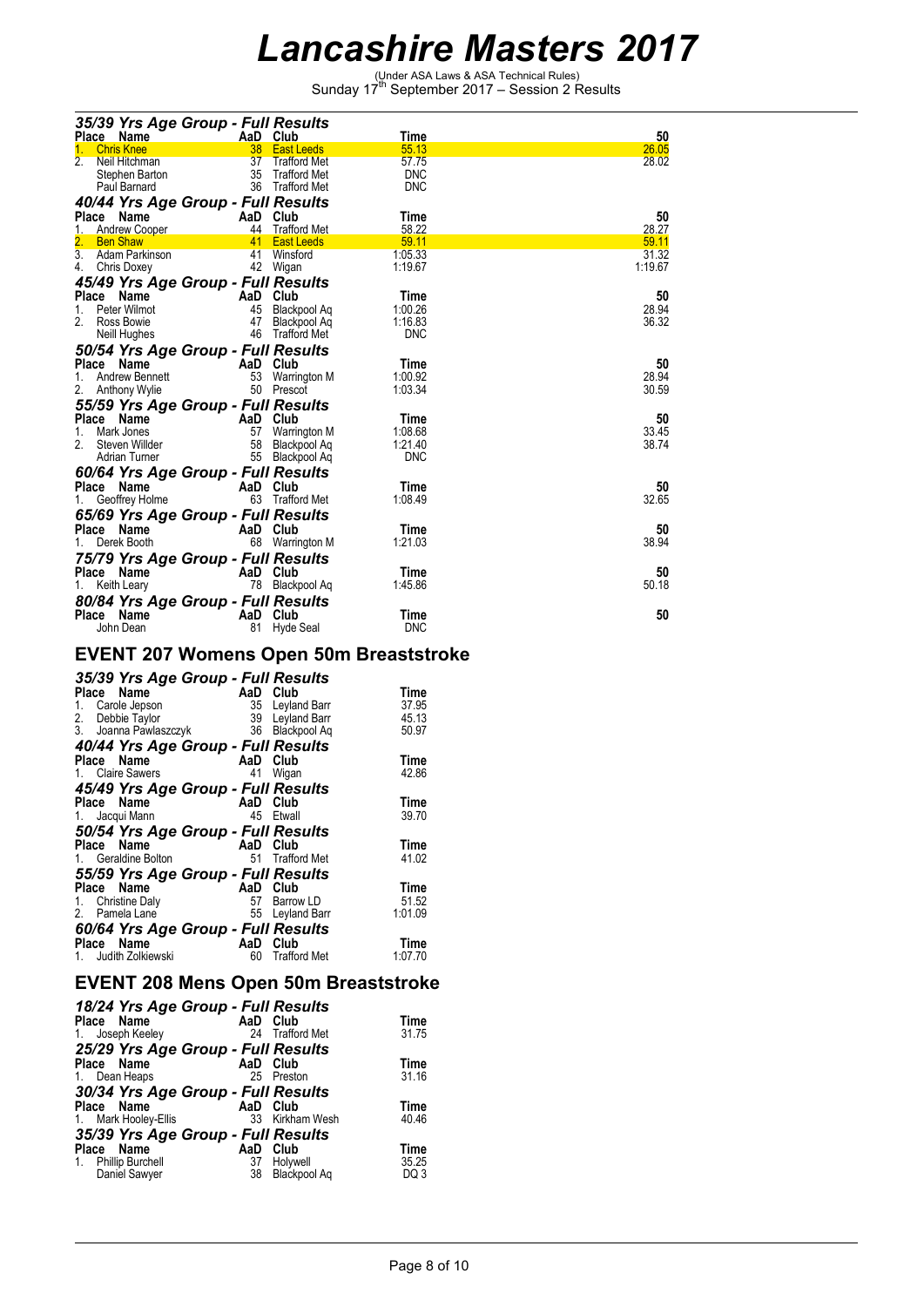(Under ASA Laws & ASA Technical Rules) Sunday 17th September 2017 – Session 2 Results

| 35/39 Yrs Age Group - Full Results |          |                   |            |         |
|------------------------------------|----------|-------------------|------------|---------|
| Place<br>Name                      | AaD Club |                   | Time       | 50      |
| <b>Chris Knee</b><br>1.            | 38       | <b>East Leeds</b> | 55.13      | 26.05   |
| Neil Hitchman                      |          | 37 Trafford Met   | 57.75      | 28.02   |
| Stephen Barton                     | 35       | Trafford Met      | <b>DNC</b> |         |
| Paul Barnard                       |          | 36 Trafford Met   | <b>DNC</b> |         |
| 40/44 Yrs Age Group - Full Results |          |                   |            |         |
| Place Name                         | AaD Club |                   | Time       | 50      |
| <b>Andrew Cooper</b><br>1.         |          | 44 Trafford Met   | 58.22      | 28.27   |
| 2.<br><b>Ben Shaw</b>              | 41       | <b>East Leeds</b> | 59.11      | 59.11   |
| 3.<br>Adam Parkinson               |          | 41 Winsford       | 1:05.33    | 31.32   |
| 4.<br>Chris Doxey                  |          | 42 Wigan          | 1:19.67    | 1:19.67 |
| 45/49 Yrs Age Group - Full Results |          |                   |            |         |
| <b>Place</b><br><b>Name</b>        | AaD      | Club              | Time       | 50      |
| Peter Wilmot<br>1.                 | 45       | Blackpool Aq      | 1:00.26    | 28.94   |
| 2.<br>Ross Bowie                   | 47       | Blackpool Aq      | 1:16.83    | 36.32   |
| Neill Hughes                       |          | 46 Trafford Met   | <b>DNC</b> |         |
| 50/54 Yrs Age Group - Full Results |          |                   |            |         |
| Place<br>Name                      | AaD Club |                   | Time       | 50      |
| Andrew Bennett<br>1.               | 53       | Warrington M      | 1:00.92    | 28.94   |
| 2.<br><b>Anthony Wylie</b>         |          | 50 Prescot        | 1:03.34    | 30.59   |
| 55/59 Yrs Age Group - Full Results |          |                   |            |         |
| Place<br>Name                      | AaD Club |                   | Time       | 50      |
| 1.<br>Mark Jones                   | 57       | Warrington M      | 1:08.68    | 33.45   |
| Steven Willder                     | 58       | Blackpool Aq      | 1:21.40    | 38.74   |
| Adrian Turner                      | 55       | Blackpool Aq      | <b>DNC</b> |         |
| 60/64 Yrs Age Group - Full Results |          |                   |            |         |
| Place<br>Name                      | AaD Club |                   | Time       | 50      |
| Geoffrey Holme                     | 63       | Trafford Met      | 1:08.49    | 32.65   |
|                                    |          |                   |            |         |
| 65/69 Yrs Age Group - Full Results |          |                   |            |         |
| Place<br>Name                      | AaD Club |                   | Time       | 50      |
| Derek Booth                        | 68       | Warrington M      | 1:21.03    | 38.94   |
| 75/79 Yrs Age Group - Full Results |          |                   |            |         |
| Place Name                         | AaD Club |                   | Time       | 50      |
| Keith Leary<br>1.                  | 78       | Blackpool Aq      | 1:45.86    | 50.18   |
| 80/84 Yrs Age Group - Full Results |          |                   |            |         |
| Place<br>Name                      | AaD      | Club              | Time       | 50      |
| John Dean                          | 81       | Hyde Seal         | <b>DNC</b> |         |

#### **EVENT 207 Womens Open 50m Breaststroke**

| 35/39 Yrs Age Group - Full Results               |                |                     |                                 |
|--------------------------------------------------|----------------|---------------------|---------------------------------|
| Place Name<br>Carole Jepson<br>1.                | AaD Club<br>35 | Leyland Barr        | Time<br>37.95<br>45.13<br>50.97 |
| 40/44 Yrs Age Group - Full Results               |                |                     |                                 |
| Place Name                                       | AaD Club       |                     | Time                            |
| 1. Claire Sawers                                 | 41             | Wigan               | 42.86                           |
| 45/49 Yrs Age Group - Full Results               |                |                     |                                 |
| Place Name                                       | AaD<br>45      | Club<br>Etwall      | Time<br>39.70                   |
| 1. Jacqui Mann                                   |                |                     |                                 |
| 50/54 Yrs Age Group - Full Results<br>Place Name | AaD Club       |                     | Time                            |
| 1. Geraldine Bolton                              | 51             | <b>Trafford Met</b> | 41.02                           |
|                                                  |                |                     |                                 |
| 55/59 Yrs Age Group - Full Results<br>Place Name | AaD            | Club                | Time                            |
| 1. Christine Daly                                | 57             | Barrow LD           | 51.52                           |
| 2. Pamela Lane                                   | 55             | Leyland Barr        | 1:01.09                         |
| 60/64 Yrs Age Group - Full Results               |                |                     |                                 |
| Place Name                                       | AaD            | Club                | Time                            |
| Judith Zolkiewski                                | 60             | <b>Trafford Met</b> | 1:07.70                         |

### **EVENT 208 Mens Open 50m Breaststroke**

| 18/24 Yrs Age Group - Full Results<br>Place Name<br>1. Joseph Keeley                                        |                 | AaD Club<br>24 Trafford Met      | <b>Time</b><br>31.75             |
|-------------------------------------------------------------------------------------------------------------|-----------------|----------------------------------|----------------------------------|
| 25/29 Yrs Age Group - Full Results<br>Place Name<br>1. Dean Heaps                                           |                 | AaD Club<br>25 Preston           | <b>Time</b><br>31.16             |
| 30/34 Yrs Age Group - Full Results<br>Place Name<br>1. Mark Hooley-Ellis                                    |                 | AaD Club<br>33 Kirkham Wesh      | Time<br>40.46                    |
| 35/39 Yrs Age Group - Full Results<br>Place Name<br><b>Phillip Burchell</b><br>$1_{\cdot}$<br>Daniel Sawyer | AaD<br>37<br>38 | Club<br>Holywell<br>Blackpool Aq | Time<br>35.25<br>DQ <sub>3</sub> |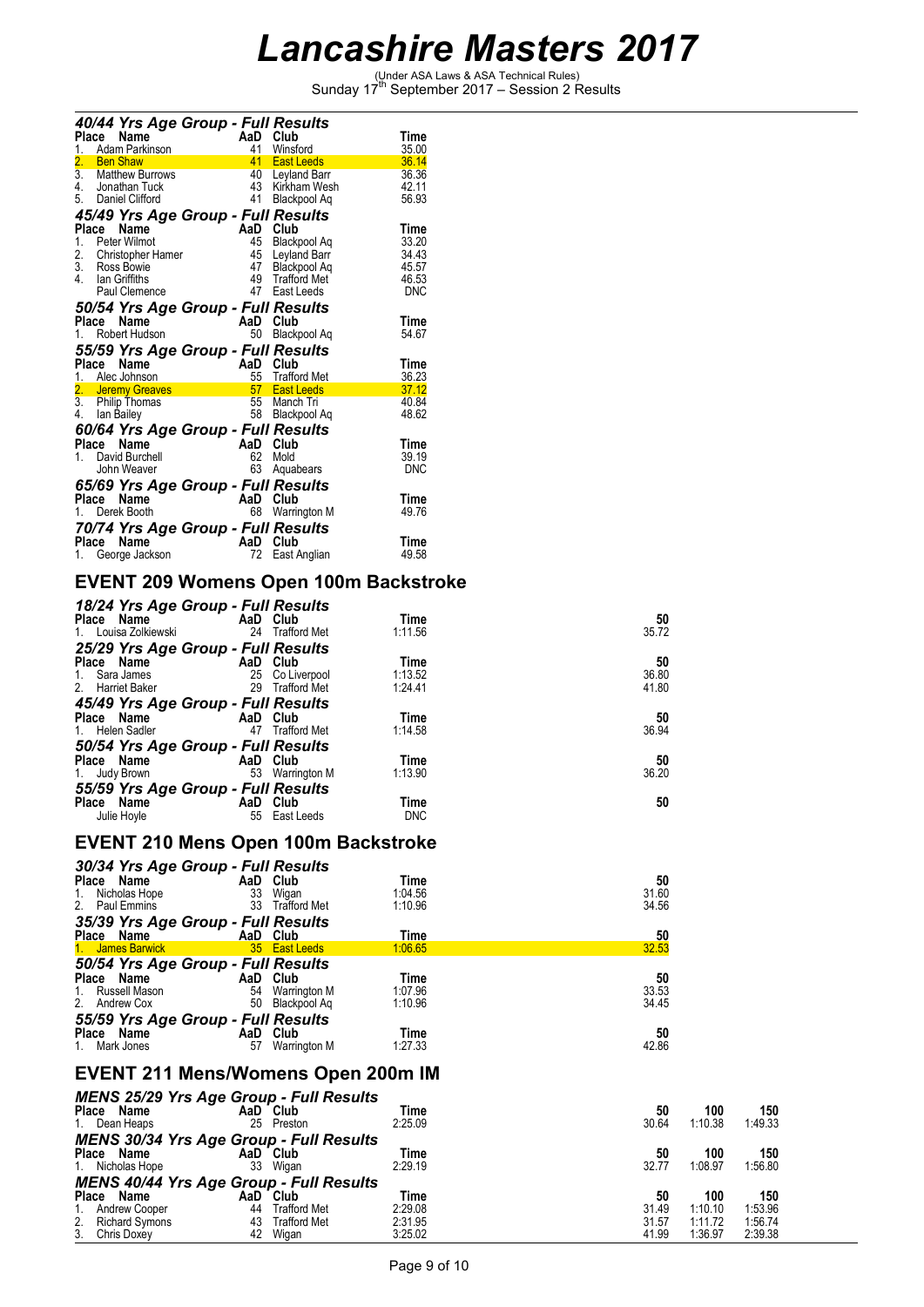(Under ASA Laws & ASA Technical Rules) Sunday 17th September 2017 – Session 2 Results

|                   |       |                                       | 40/44 Yrs Age Group - Full Results        |                                      |                |
|-------------------|-------|---------------------------------------|-------------------------------------------|--------------------------------------|----------------|
| Place             |       | Name                                  | AaD                                       | Club                                 | Time           |
| $1$ <sub>--</sub> |       | Adam Parkinson                        | 41                                        | Winsford                             | 35.00          |
| 2.                |       | <b>Ben Shaw</b><br>3. Matthew Burrows | 41                                        | <b>East Leeds</b>                    | 36.14          |
|                   |       | 4. Jonathan Tuck                      |                                           | 40 Leyland Barr<br>43 Kirkham Wesh   | 36.36<br>42.11 |
|                   |       | 5. Daniel Clifford                    |                                           | 41 Blackpool Aq                      | 56.93          |
|                   |       |                                       |                                           |                                      |                |
|                   |       |                                       | 45/49 Yrs Age Group - Full Results        |                                      |                |
| Place             |       | Name                                  | AaD                                       | Club                                 | Time           |
| 1.                |       | Peter Wilmot                          |                                           | 45 Blackpool Aq                      | 33.20<br>34.43 |
|                   |       | 2. Christopher Hamer<br>3. Ross Bowie |                                           | 45 Leyland Barr<br>47 Blackpool Aq   | 45.57          |
|                   |       | 4. Ian Griffiths                      |                                           | 49 Trafford Met                      | 46.53          |
|                   |       | Paul Clemence                         |                                           | 47 East Leeds                        | DNC            |
|                   |       |                                       |                                           |                                      |                |
|                   | Place | Name                                  | 50/54 Yrs Age Group - Full Results<br>AaD | Club                                 | Time           |
|                   |       | 1. Robert Hudson                      | 50                                        | Blackpool Ag                         | 54.67          |
|                   |       |                                       |                                           |                                      |                |
|                   |       |                                       | 55/59 Yrs Age Group - Full Results        |                                      |                |
| Place             |       | Name                                  | AaD                                       | Club                                 | Time           |
|                   |       | 1. Alec Johnson<br>2. Jeremy Greaves  | 55                                        | <b>Trafford Met</b><br>57 East Leeds | 36.23<br>37.12 |
|                   |       | 3. Philip Thomas                      |                                           | 55 Manch Tri                         | 40.84          |
|                   |       | 4. Ian Bailey                         |                                           | 58 Blackpool Aq                      | 48.62          |
|                   |       |                                       |                                           |                                      |                |
|                   |       |                                       | 60/64 Yrs Age Group - Full Results        |                                      |                |
|                   | Place | Name                                  | AaD                                       | Club                                 | Time           |
| 1.                |       | David Burchell<br>John Weaver         | 62<br>63                                  | Mold                                 | 39.19<br>DNC   |
|                   |       |                                       |                                           | Aquabears                            |                |
|                   |       |                                       | 65/69 Yrs Age Group - Full Results        |                                      |                |
| Place             |       | Name                                  | AaD                                       | Club                                 | Time           |
|                   |       | 1. Derek Booth                        |                                           | 68 Warrington M                      | 49.76          |
|                   |       |                                       | 70/74 Yrs Age Group - Full Results        |                                      |                |
|                   |       |                                       |                                           |                                      |                |
|                   | Place | Name                                  | AaD                                       | Club                                 | Time           |
| 1.                |       | George Jackson                        | 72.                                       | East Anglian                         | 49.58          |

### **EVENT 209 Womens Open 100m Backstroke**

| 18/24 Yrs Age Group - Full Results<br>Place Name<br>1. Louisa Zolkiewski          | AaD Club                    | 24 Trafford Met | Time<br>1:11.56            | 50<br>35.72          |
|-----------------------------------------------------------------------------------|-----------------------------|-----------------|----------------------------|----------------------|
| 25/29 Yrs Age Group - Full Results                                                |                             |                 |                            |                      |
| Place Name<br>1. Sara James<br>2. Harriet Baker                                   | AaD Club<br>25 Co Liverpool | 29 Trafford Met | Time<br>1:13.52<br>1:24.41 | 50<br>36.80<br>41.80 |
| 45/49 Yrs Age Group - Full Results<br>Place Name<br>1. Helen Sadler               | AaD Club                    | 47 Trafford Met | Time<br>1:14.58            | 50<br>36.94          |
| 50/54 Yrs Age Group - Full Results<br>Place Name<br>1. Judy Brown 53 Warrington M | AaD Club                    |                 | Time<br>1:13.90            | 50<br>36.20          |
| 55/59 Yrs Age Group - Full Results<br>Place Name<br>Julie Hoyle                   | AaD Club<br>55              | East Leeds      | Time<br><b>DNC</b>         | 50                   |

#### **EVENT 210 Mens Open 100m Backstroke**

| 30/34 Yrs Age Group - Full Results |          |                     |         |       |  |
|------------------------------------|----------|---------------------|---------|-------|--|
| Place Name                         | AaD Club |                     | Time    | 50    |  |
| Nicholas Hope<br>1.                | 33       | Wigan               | 1:04.56 | 31.60 |  |
| 2. Paul Emmins                     | 33       | <b>Trafford Met</b> | 1:10.96 | 34.56 |  |
| 35/39 Yrs Age Group - Full Results |          |                     |         |       |  |
| Place Name                         | AaD Club |                     | Time    | 50    |  |
| 1. James Barwick                   |          | 35 East Leeds       | 1:06.65 | 32.53 |  |
| 50/54 Yrs Age Group - Full Results |          |                     |         |       |  |
| Place Name                         | AaD      | Club                | Time    | 50    |  |
| Russell Mason<br>1.                | 54       | Warrington M        | 1:07.96 | 33.53 |  |
| 2.<br>Andrew Cox                   | 50       | Blackpool Ag        | 1:10.96 | 34.45 |  |
| 55/59 Yrs Age Group - Full Results |          |                     |         |       |  |
| Name<br>Place                      | AaD      | Club                | Time    | 50    |  |
| Mark Jones                         | 57       | Warrington M        | 1:27.33 | 42.86 |  |

#### **EVENT 211 Mens/Womens Open 200m IM**

| <b>MENS 25/29 Yrs Age Group - Full Results</b> |          |                     |             |       |         |         |
|------------------------------------------------|----------|---------------------|-------------|-------|---------|---------|
| <b>Place</b><br>Name                           | AaD Club |                     | Time        | 50    | 100     | 150     |
| 1. Dean Heaps                                  | 25       | Preston             | 2:25.09     | 30.64 | 1:10.38 | 1:49.33 |
| <b>MENS 30/34 Yrs Age Group - Full Results</b> |          |                     |             |       |         |         |
| <b>Place</b><br>Name                           | AaD Club |                     | Time        | 50    | 100     | 150     |
| 1. Nicholas Hope                               | 33       | Wigan               | 2:29.19     | 32.77 | 1:08.97 | 1:56.80 |
| <b>MENS 40/44 Yrs Age Group - Full Results</b> |          |                     |             |       |         |         |
| <b>Place</b><br>Name                           | AaD      | Club                | <b>Time</b> | 50    | 100     | 150     |
| 1. Andrew Cooper                               | 44       | <b>Trafford Met</b> | 2:29.08     | 31.49 | 1:10.10 | 1:53.96 |
| 2. Richard Symons<br>3. Chris Doxey            | 43       | <b>Trafford Met</b> | 2:31.95     | 31.57 | 1:11.72 | 1:56.74 |
|                                                | 42       | Wigan               | 3:25.02     | 41.99 | 1:36.97 | 2:39.38 |